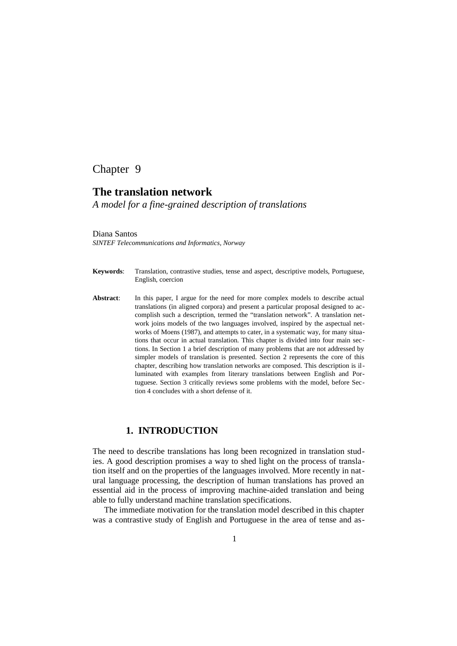# Chapter 9

# **The translation network**

*A model for a fine-grained description of translations*

### Diana Santos

*SINTEF Telecommunications and Informatics, Norway*

- **Keywords**: Translation, contrastive studies, tense and aspect, descriptive models, Portuguese, English, coercion
- **Abstract**: In this paper, I argue for the need for more complex models to describe actual translations (in aligned corpora) and present a particular proposal designed to accomplish such a description, termed the "translation network". A translation network joins models of the two languages involved, inspired by the aspectual networks of Moens (1987), and attempts to cater, in a systematic way, for many situations that occur in actual translation. This chapter is divided into four main sections. In Section 1 a brief description of many problems that are not addressed by simpler models of translation is presented. Section 2 represents the core of this chapter, describing how translation networks are composed. This description is illuminated with examples from literary translations between English and Portuguese. Section 3 critically reviews some problems with the model, before Section 4 concludes with a short defense of it.

## **1. INTRODUCTION**

The need to describe translations has long been recognized in translation studies. A good description promises a way to shed light on the process of translation itself and on the properties of the languages involved. More recently in natural language processing, the description of human translations has proved an essential aid in the process of improving machine-aided translation and being able to fully understand machine translation specifications.

The immediate motivation for the translation model described in this chapter was a contrastive study of English and Portuguese in the area of tense and as-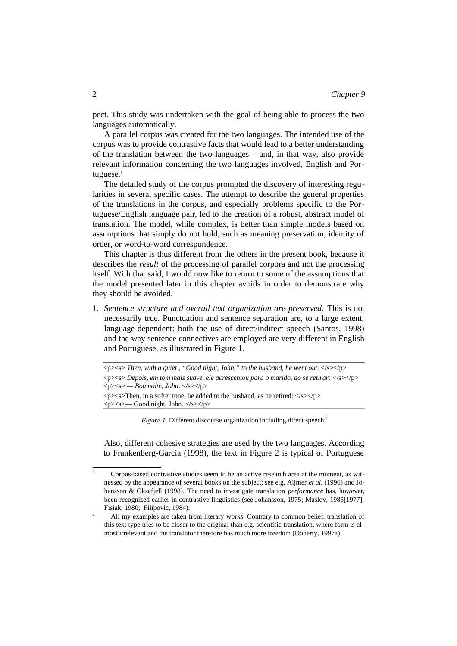pect. This study was undertaken with the goal of being able to process the two languages automatically.

A parallel corpus was created for the two languages. The intended use of the corpus was to provide contrastive facts that would lead to a better understanding of the translation between the two languages – and, in that way, also provide relevant information concerning the two languages involved, English and Por-tuguese.<sup>[1](#page-1-0)</sup>

The detailed study of the corpus prompted the discovery of interesting regularities in several specific cases. The attempt to describe the general properties of the translations in the corpus, and especially problems specific to the Portuguese/English language pair, led to the creation of a robust, abstract model of translation. The model, while complex, is better than simple models based on assumptions that simply do not hold, such as meaning preservation, identity of order, or word-to-word correspondence.

This chapter is thus different from the others in the present book, because it describes the *result* of the processing of parallel corpora and not the processing itself. With that said, I would now like to return to some of the assumptions that the model presented later in this chapter avoids in order to demonstrate why they should be avoided.

1. *Sentence structure and overall text organization are preserved.* This is not necessarily true. Punctuation and sentence separation are, to a large extent, language-dependent: both the use of direct/indirect speech (Santos, 1998) and the way sentence connectives are employed are very different in English and Portuguese, as illustrated in Figure 1.

 $p$  <s>Then, in a softer tone, he added to the husband, as he retired:  $\langle$ /s> $\langle$ /p>  $\langle p \rangle \langle s \rangle$  Good night, John.  $\langle s \rangle \langle p \rangle$ 

*Figure 1.* Different discourse organization including direct speech<sup>[2](#page-1-1)</sup>

Also, different cohesive strategies are used by the two languages. According to Frankenberg-Garcia (1998), the text in Figure 2 is typical of Portuguese

<sup>&</sup>lt;p><s> *Then, with a quiet , "Good night, John," to the husband, he went out.* </s></p> <p><s> *Depois, em tom mais suave, ele acrescentou para o marido, ao se retirar:* </s></p> <p><s> *— Boa noite, John*. </s></p>

<span id="page-1-0"></span>Corpus-based contrastive studies seem to be an active research area at the moment, as witnessed by the appearance of several books on the subject; see e.g. Aijmer *et al.* (1996) and Johansson & Oksefjell (1998). The need to investigate translation *performance* has, however, been recognized earlier in contrastive linguistics (see Johansson, 1975; Maslov, 1985[1977]; Fisiak, 1980; Filipovic, 1984).

<span id="page-1-1"></span>All my examples are taken from literary works. Contrary to common belief, translation of this text type tries to be closer to the original than e.g. scientific translation, where form is almost irrelevant and the translator therefore has much more freedom (Doherty, 1997a).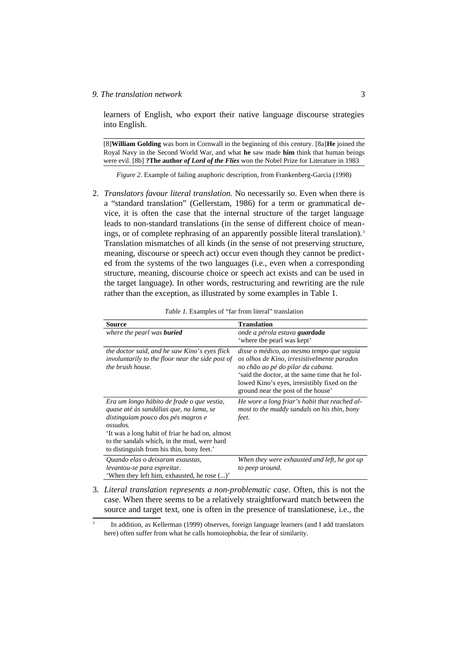learners of English, who export their native language discourse strategies into English.

[8]**William Golding** was born in Cornwall in the beginning of this century. [8a]**He** joined the Royal Navy in the Second World War, and what **he** saw made **him** think that human beings were evil. [8b] **?The author** *of Lord of the Flies* won the Nobel Prize for Literature in 1983

*Figure 2*. Example of failing anaphoric description, from Frankenberg-Garcia (1998)

2. *Translators favour literal translation.* No necessarily so. Even when there is a "standard translation" (Gellerstam, 1986) for a term or grammatical device, it is often the case that the internal structure of the target language leads to non-standard translations (in the sense of different choice of mean-ings, or of complete rephrasing of an apparently possible literal translation).<sup>[3](#page-2-0)</sup> Translation mismatches of all kinds (in the sense of not preserving structure, meaning, discourse or speech act) occur even though they cannot be predicted from the systems of the two languages (i.e., even when a corresponding structure, meaning, discourse choice or speech act exists and can be used in the target language). In other words, restructuring and rewriting are the rule rather than the exception, as illustrated by some examples in Table 1.

| Source                                                                                                                                                                                                                                                                                 | <b>Translation</b>                                                                                                                                                                                                                                                     |
|----------------------------------------------------------------------------------------------------------------------------------------------------------------------------------------------------------------------------------------------------------------------------------------|------------------------------------------------------------------------------------------------------------------------------------------------------------------------------------------------------------------------------------------------------------------------|
| where the pearl was <b>buried</b>                                                                                                                                                                                                                                                      | onde a pérola estava <b>quardada</b><br>'where the pearl was kept'                                                                                                                                                                                                     |
| the doctor said, and he saw Kino's eyes flick<br>involuntarily to the floor near the side post of<br>the brush house.                                                                                                                                                                  | disse o médico, ao mesmo tempo que sequia<br>os olhos de Kino, irresistivelmente parados<br>no chão ao pé do pilar da cabana.<br>'said the doctor, at the same time that he fol-<br>lowed Kino's eyes, irresistibly fixed on the<br>ground near the post of the house' |
| Era um longo hábito de frade o que vestia,<br>quase até às sandálias que, na lama, se<br>distinguiam pouco dos pés magros e<br>ossudos.<br>'It was a long habit of friar he had on, almost<br>to the sandals which, in the mud, were hard<br>to distinguish from his thin, bony feet.' | He wore a long friar's habit that reached al-<br>most to the muddy sandals on his thin, bony<br>feet.                                                                                                                                                                  |
| Quando elas o deixaram exaustas,<br>levantou-se para espreitar.<br>'When they left him, exhausted, he rose ()'                                                                                                                                                                         | When they were exhausted and left, he got up<br>to peep around.                                                                                                                                                                                                        |

| Table 1. Examples of "far from literal" translation |  |  |  |
|-----------------------------------------------------|--|--|--|
|-----------------------------------------------------|--|--|--|

3. *Literal translation represents a non-problematic case.* Often, this is not the case. When there seems to be a relatively straightforward match between the source and target text, one is often in the presence of translationese, i.e., the

<span id="page-2-0"></span><sup>3</sup> In addition, as Kellerman (1999) observes, foreign language learners (and I add translators here) often suffer from what he calls homoiophobia, the fear of similarity.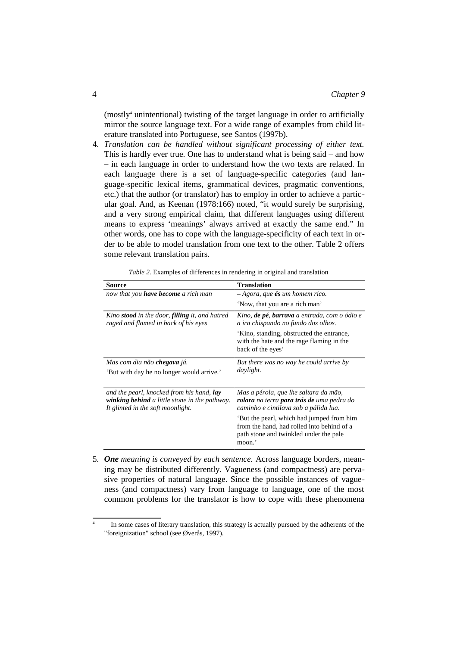(mostl[y](#page-3-0)<sup>4</sup> unintentional) twisting of the target language in order to artificially mirror the source language text. For a wide range of examples from child literature translated into Portuguese, see Santos (1997b).

4. *Translation can be handled without significant processing of either text.* This is hardly ever true. One has to understand what is being said – and how – in each language in order to understand how the two texts are related. In each language there is a set of language-specific categories (and language-specific lexical items, grammatical devices, pragmatic conventions, etc.) that the author (or translator) has to employ in order to achieve a particular goal. And, as Keenan (1978:166) noted, "it would surely be surprising, and a very strong empirical claim, that different languages using different means to express 'meanings' always arrived at exactly the same end." In other words, one has to cope with the language-specificity of each text in order to be able to model translation from one text to the other. Table 2 offers some relevant translation pairs.

| Source                                                                                                                                 | <b>Translation</b>                                                                                                                          |
|----------------------------------------------------------------------------------------------------------------------------------------|---------------------------------------------------------------------------------------------------------------------------------------------|
| now that you <b>have become</b> a rich man                                                                                             | – Agora, que <b>és</b> um homem rico.                                                                                                       |
|                                                                                                                                        | 'Now, that you are a rich man'                                                                                                              |
| Kino <b>stood</b> in the door, <b>filling</b> it, and hatred<br>raged and flamed in back of his eyes                                   | Kino, <b>de pé, barrava</b> a entrada, com o ódio e<br>a ira chispando no fundo dos olhos.                                                  |
|                                                                                                                                        | 'Kino, standing, obstructed the entrance,<br>with the hate and the rage flaming in the<br>back of the eyes'                                 |
| Mas com dia não <b>chegava</b> já.                                                                                                     | But there was no way he could arrive by                                                                                                     |
| 'But with day he no longer would arrive.'                                                                                              | daylight.                                                                                                                                   |
| and the pearl, knocked from his hand, <b>lay</b><br>winking behind a little stone in the pathway.<br>It glinted in the soft moonlight. | Mas a pérola, que lhe saltara da mão,<br>rolara na terra para trás de uma pedra do<br>caminho e cintilava sob a pálida lua.                 |
|                                                                                                                                        | 'But the pearl, which had jumped from him<br>from the hand, had rolled into behind of a<br>path stone and twinkled under the pale<br>moon.' |

*Table 2.* Examples of differences in rendering in original and translation

5. *One meaning is conveyed by each sentence.* Across language borders, meaning may be distributed differently. Vagueness (and compactness) are pervasive properties of natural language. Since the possible instances of vagueness (and compactness) vary from language to language, one of the most common problems for the translator is how to cope with these phenomena

4

<span id="page-3-0"></span>In some cases of literary translation, this strategy is actually pursued by the adherents of the "foreignization" school (see Øverås, 1997).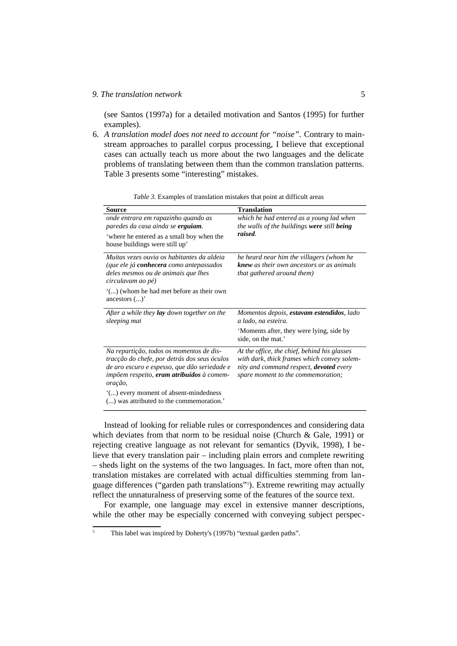(see Santos (1997a) for a detailed motivation and Santos (1995) for further examples).

6. *A translation model does not need to account for "noise".* Contrary to mainstream approaches to parallel corpus processing, I believe that exceptional cases can actually teach us more about the two languages and the delicate problems of translating between them than the common translation patterns. Table 3 presents some "interesting" mistakes.

| Source                                                                                                                                                                                           | <b>Translation</b>                                                                                                                                                                  |
|--------------------------------------------------------------------------------------------------------------------------------------------------------------------------------------------------|-------------------------------------------------------------------------------------------------------------------------------------------------------------------------------------|
| onde entrara em rapazinho quando as<br>paredes da casa ainda se <b>erguiam</b> .                                                                                                                 | which he had entered as a young lad when<br>the walls of the buildings were still being<br>raised.                                                                                  |
| 'where he entered as a small boy when the<br>house buildings were still up'                                                                                                                      |                                                                                                                                                                                     |
| Muitas vezes ouvia os habitantes da aldeia<br>(que ele já conhecera como antepassados<br>deles mesmos ou de animais que lhes<br>circulavam ao pé)                                                | he heard near him the villagers (whom he<br><b>knew</b> as their own ancestors or as animals<br>that gathered around them)                                                          |
| '() (whom he had met before as their own<br>ancestors $()$                                                                                                                                       |                                                                                                                                                                                     |
| After a while they <b>lay</b> down together on the<br>sleeping mat                                                                                                                               | Momentos depois, estavam estendidos, lado<br>a lado, na esteira.                                                                                                                    |
|                                                                                                                                                                                                  | 'Moments after, they were lying, side by<br>side, on the mat.'                                                                                                                      |
| Na repartição, todos os momentos de dis-<br>tracção do chefe, por detrás dos seus óculos<br>de aro escuro e espesso, que dão seriedade e<br>impõem respeito, eram atribuídos à comem-<br>oração, | At the office, the chief, behind his glasses<br>with dark, thick frames which convey solem-<br>nity and command respect, <b>devoted</b> every<br>spare moment to the commemoration; |
| "() every moment of absent-mindedness<br>() was attributed to the commemoration.'                                                                                                                |                                                                                                                                                                                     |

*Table 3.* Examples of translation mistakes that point at difficult areas

Instead of looking for reliable rules or correspondences and considering data which deviates from that norm to be residual noise (Church & Gale, 1991) or rejecting creative language as not relevant for semantics (Dyvik, 1998), I believe that every translation pair – including plain errors and complete rewriting – sheds light on the systems of the two languages. In fact, more often than not, translation mistakes are correlated with actual difficulties stemming from lan-guage differences ("garden path translations"<sup>[5](#page-4-0)</sup>). Extreme rewriting may actually reflect the unnaturalness of preserving some of the features of the source text.

For example, one language may excel in extensive manner descriptions, while the other may be especially concerned with conveying subject perspec-

<span id="page-4-0"></span><sup>&</sup>lt;sup>5</sup> This label was inspired by Doherty's (1997b) "textual garden paths".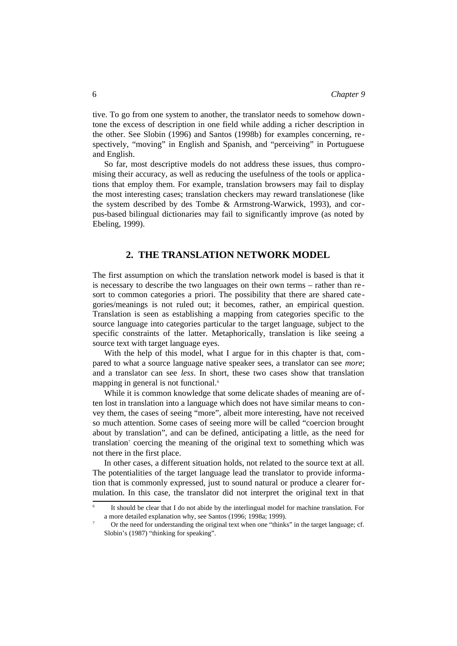tive. To go from one system to another, the translator needs to somehow downtone the excess of description in one field while adding a richer description in the other. See Slobin (1996) and Santos (1998b) for examples concerning, respectively, "moving" in English and Spanish, and "perceiving" in Portuguese and English.

So far, most descriptive models do not address these issues, thus compromising their accuracy, as well as reducing the usefulness of the tools or applications that employ them. For example, translation browsers may fail to display the most interesting cases; translation checkers may reward translationese (like the system described by des Tombe & Armstrong-Warwick, 1993), and corpus-based bilingual dictionaries may fail to significantly improve (as noted by Ebeling, 1999).

### **2. THE TRANSLATION NETWORK MODEL**

The first assumption on which the translation network model is based is that it is necessary to describe the two languages on their own terms – rather than re sort to common categories a priori. The possibility that there are shared cate gories/meanings is not ruled out; it becomes, rather, an empirical question. Translation is seen as establishing a mapping from categories specific to the source language into categories particular to the target language, subject to the specific constraints of the latter. Metaphorically, translation is like seeing a source text with target language eyes.

With the help of this model, what I argue for in this chapter is that, compared to what a source language native speaker sees, a translator can see *more*; and a translator can see *less*. In short, these two cases show that translation mapping in general is not functional.<sup>[6](#page-5-0)</sup>

While it is common knowledge that some delicate shades of meaning are often lost in translation into a language which does not have similar means to convey them, the cases of seeing "more", albeit more interesting, have not received so much attention. Some cases of seeing more will be called "coercion brought about by translation", and can be defined, anticipating a little, as the need for translation<sup>[7](#page-5-1)</sup> coercing the meaning of the original text to something which was not there in the first place.

In other cases, a different situation holds, not related to the source text at all. The potentialities of the target language lead the translator to provide information that is commonly expressed, just to sound natural or produce a clearer formulation. In this case, the translator did not interpret the original text in that

<span id="page-5-0"></span><sup>6</sup> It should be clear that I do not abide by the interlingual model for machine translation. For a more detailed explanation why, see Santos (1996; 1998a; 1999).

<span id="page-5-1"></span><sup>7</sup> Or the need for understanding the original text when one "thinks" in the target language; cf. Slobin's (1987) "thinking for speaking".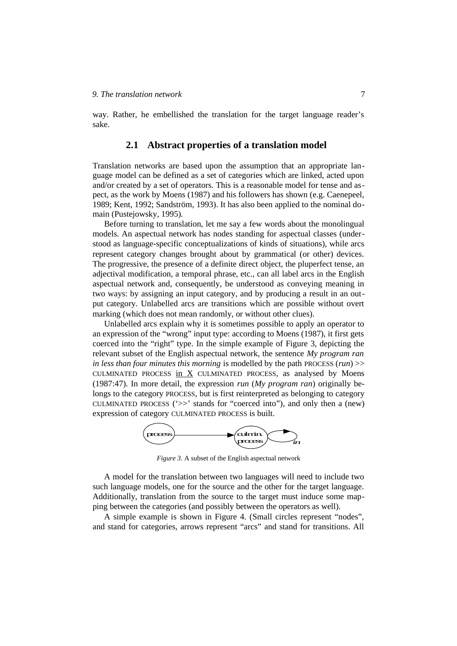way. Rather, he embellished the translation for the target language reader's sake.

### **2.1 Abstract properties of a translation model**

Translation networks are based upon the assumption that an appropriate language model can be defined as a set of categories which are linked, acted upon and/or created by a set of operators. This is a reasonable model for tense and aspect, as the work by Moens (1987) and his followers has shown (e.g. Caenepeel, 1989; Kent, 1992; Sandström, 1993). It has also been applied to the nominal domain (Pustejowsky, 1995).

Before turning to translation, let me say a few words about the monolingual models. An aspectual network has nodes standing for aspectual classes (understood as language-specific conceptualizations of kinds of situations), while arcs represent category changes brought about by grammatical (or other) devices. The progressive, the presence of a definite direct object, the pluperfect tense, an adjectival modification, a temporal phrase, etc., can all label arcs in the English aspectual network and, consequently, be understood as conveying meaning in two ways: by assigning an input category, and by producing a result in an output category. Unlabelled arcs are transitions which are possible without overt marking (which does not mean randomly, or without other clues).

Unlabelled arcs explain why it is sometimes possible to apply an operator to an expression of the "wrong" input type: according to Moens (1987), it first gets coerced into the "right" type. In the simple example of Figure 3, depicting the relevant subset of the English aspectual network, the sentence *My program ran in less than four minutes this morning* is modelled by the path PROCESS (*run*) >> CULMINATED PROCESS in  $X$  CULMINATED PROCESS, as analysed by Moens (1987:47). In more detail, the expression *run* (*My program ran*) originally belongs to the category PROCESS, but is first reinterpreted as belonging to category CULMINATED PROCESS ('>>' stands for "coerced into"), and only then a (new) expression of category CULMINATED PROCESS is built.



*Figure 3.* A subset of the English aspectual network

A model for the translation between two languages will need to include two such language models, one for the source and the other for the target language. Additionally, translation from the source to the target must induce some mapping between the categories (and possibly between the operators as well).

A simple example is shown in Figure 4. (Small circles represent "nodes", and stand for categories, arrows represent "arcs" and stand for transitions. All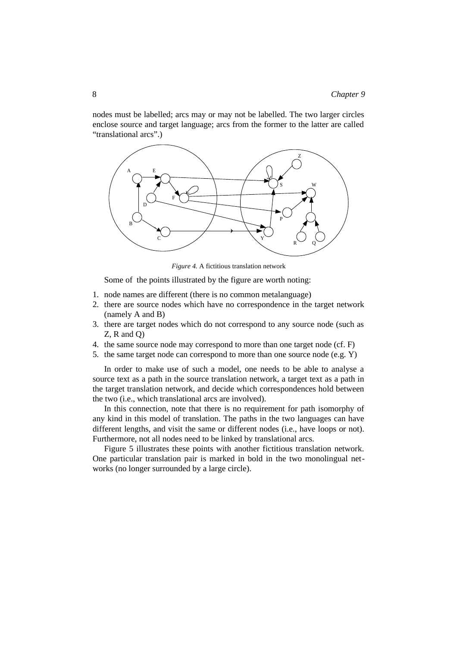nodes must be labelled; arcs may or may not be labelled. The two larger circles enclose source and target language; arcs from the former to the latter are called "translational arcs".)



*Figure 4.* A fictitious translation network

Some of the points illustrated by the figure are worth noting:

- 1. node names are different (there is no common metalanguage)
- 2. there are source nodes which have no correspondence in the target network (namely A and B)
- 3. there are target nodes which do not correspond to any source node (such as Z, R and Q)
- 4. the same source node may correspond to more than one target node (cf. F)
- 5. the same target node can correspond to more than one source node (e.g. Y)

In order to make use of such a model, one needs to be able to analyse a source text as a path in the source translation network, a target text as a path in the target translation network, and decide which correspondences hold between the two (i.e., which translational arcs are involved).

In this connection, note that there is no requirement for path isomorphy of any kind in this model of translation. The paths in the two languages can have different lengths, and visit the same or different nodes (i.e., have loops or not). Furthermore, not all nodes need to be linked by translational arcs.

Figure 5 illustrates these points with another fictitious translation network. One particular translation pair is marked in bold in the two monolingual networks (no longer surrounded by a large circle).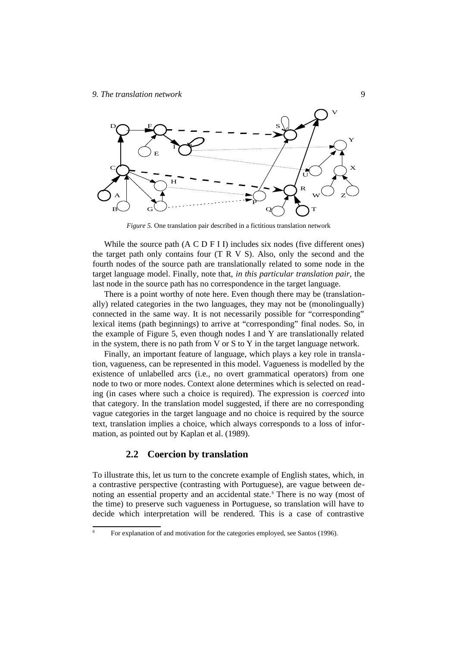

*Figure 5.* One translation pair described in a fictitious translation network

While the source path  $(A \subset D F I I)$  includes six nodes (five different ones) the target path only contains four  $(T R V S)$ . Also, only the second and the fourth nodes of the source path are translationally related to some node in the target language model. Finally, note that, *in this particular translation pair,* the last node in the source path has no correspondence in the target language.

There is a point worthy of note here. Even though there may be (translationally) related categories in the two languages, they may not be (monolingually) connected in the same way. It is not necessarily possible for "corresponding" lexical items (path beginnings) to arrive at "corresponding" final nodes. So, in the example of Figure 5, even though nodes I and Y are translationally related in the system, there is no path from V or S to Y in the target language network.

Finally, an important feature of language, which plays a key role in translation, vagueness, can be represented in this model. Vagueness is modelled by the existence of unlabelled arcs (i.e., no overt grammatical operators) from one node to two or more nodes. Context alone determines which is selected on reading (in cases where such a choice is required). The expression is *coerced* into that category. In the translation model suggested, if there are no corresponding vague categories in the target language and no choice is required by the source text, translation implies a choice, which always corresponds to a loss of information, as pointed out by Kaplan et al. (1989).

## **2.2 Coercion by translation**

To illustrate this, let us turn to the concrete example of English states, which, in a contrastive perspective (contrasting with Portuguese), are vague between de-noting an essential property and an accidental state.<sup>[8](#page-8-0)</sup> There is no way (most of the time) to preserve such vagueness in Portuguese, so translation will have to decide which interpretation will be rendered. This is a case of contrastive

<span id="page-8-0"></span><sup>&</sup>lt;sup>8</sup> For explanation of and motivation for the categories employed, see Santos (1996).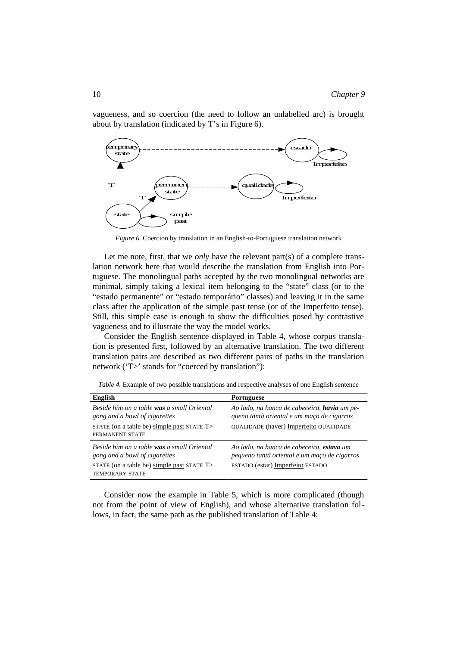vagueness, and so coercion (the need to follow an unlabelled arc) is brought about by translation (indicated by T's in Figure 6).



*Figure 6.* Coercion by translation in an English-to-Portuguese translation network

Let me note, first, that we *only* have the relevant part(s) of a complete translation network here that would describe the translation from English into Portuguese. The monolingual paths accepted by the two monolingual networks are minimal, simply taking a lexical item belonging to the "state" class (or to the "estado permanente" or "estado temporário" classes) and leaving it in the same class after the application of the simple past tense (or of the Imperfeito tense). Still, this simple case is enough to show the difficulties posed by contrastive vagueness and to illustrate the way the model works.

Consider the English sentence displayed in Table 4, whose corpus translation is presented first, followed by an alternative translation. The two different translation pairs are described as two different pairs of paths in the translation network ('T>' stands for "coerced by translation"):

| English                                                                     | Portuguese                                                                                        |
|-----------------------------------------------------------------------------|---------------------------------------------------------------------------------------------------|
| Beside him on a table was a small Oriental<br>gong and a bowl of cigarettes | Ao lado, na banca de cabeceira, <b>havia</b> um pe-<br>queno tantã oriental e um maço de cigarros |
| STATE (on a table be) simple past STATE T><br>PERMANENT STATE               | QUALIDADE (haver) Imperfeito QUALIDADE                                                            |
| Beside him on a table was a small Oriental<br>gong and a bowl of cigarettes | Ao lado, na banca de cabeceira, <b>estava</b> um<br>pequeno tantã oriental e um maço de cigarros  |
| STATE (on a table be) simple past STATE T><br><b>TEMPORARY STATE</b>        | ESTADO (estar) Imperfeito ESTADO                                                                  |

*Table 4.* Example of two possible translations and respective analyses of one English sentence

Consider now the example in Table 5, which is more complicated (though not from the point of view of English), and whose alternative translation follows, in fact, the same path as the published translation of Table 4: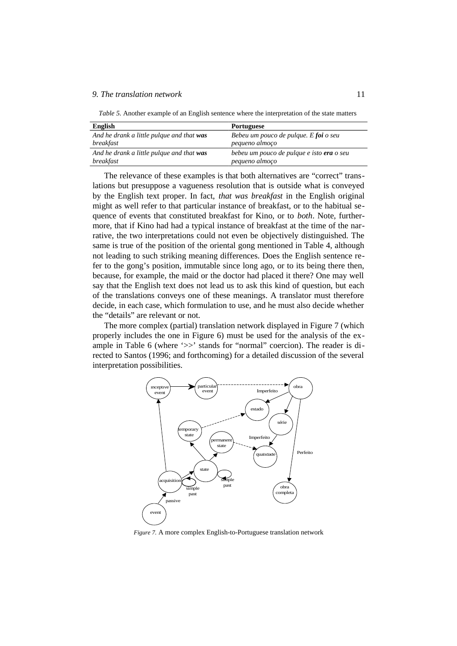*Table 5.* Another example of an English sentence where the interpretation of the state matters

| English                                   | <b>Portuguese</b>                                |
|-------------------------------------------|--------------------------------------------------|
| And he drank a little pulque and that was | Bebeu um pouco de pulque. E foi o seu            |
| breakfast                                 | pequeno almoço                                   |
| And he drank a little pulque and that was | bebeu um pouco de pulque e isto <b>era</b> o seu |
| breakfast                                 | pequeno almoço                                   |

The relevance of these examples is that both alternatives are "correct" translations but presuppose a vagueness resolution that is outside what is conveyed by the English text proper. In fact, *that was breakfast* in the English original might as well refer to that particular instance of breakfast, or to the habitual sequence of events that constituted breakfast for Kino, or to *both*. Note, furthermore, that if Kino had had a typical instance of breakfast at the time of the narrative, the two interpretations could not even be objectively distinguished. The same is true of the position of the oriental gong mentioned in Table 4, although not leading to such striking meaning differences. Does the English sentence refer to the gong's position, immutable since long ago, or to its being there then, because, for example, the maid or the doctor had placed it there? One may well say that the English text does not lead us to ask this kind of question, but each of the translations conveys one of these meanings. A translator must therefore decide, in each case, which formulation to use, and he must also decide whether the "details" are relevant or not.

The more complex (partial) translation network displayed in Figure 7 (which properly includes the one in Figure 6) must be used for the analysis of the example in Table 6 (where '>>' stands for "normal" coercion). The reader is directed to Santos (1996; and forthcoming) for a detailed discussion of the several interpretation possibilities.



*Figure 7.* A more complex English-to-Portuguese translation network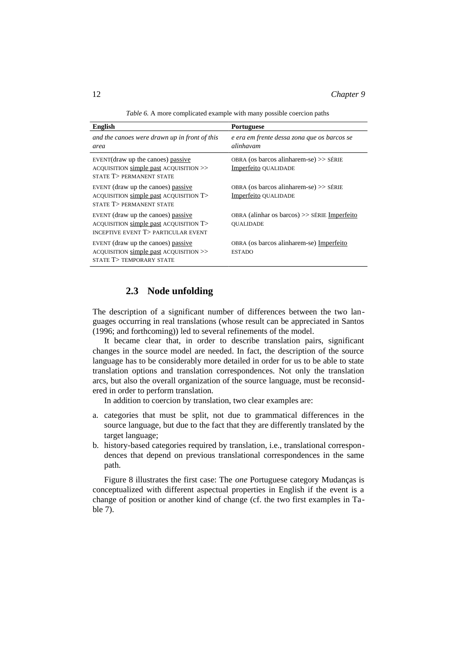| <b>English</b>                                                                                                      | <b>Portuguese</b>                                                |
|---------------------------------------------------------------------------------------------------------------------|------------------------------------------------------------------|
| and the canoes were drawn up in front of this<br>area                                                               | e era em frente dessa zona que os barcos se<br>alinhavam         |
| EVENT(draw up the canoes) passive<br>ACQUISITION simple past ACQUISITION >><br><b>STATE T&gt; PERMANENT STATE</b>   | OBRA (os barcos alinharem-se) >> SÉRIE<br>Imperfeito QUALIDADE   |
| EVENT (draw up the canoes) passive<br>ACQUISITION simple past ACQUISITION T><br>STATE T> PERMANENT STATE            | OBRA (os barcos alinharem-se) >> SÉRIE<br>Imperfeito QUALIDADE   |
| EVENT (draw up the canoes) passive<br>ACQUISITION simple past ACQUISITION T><br>INCEPTIVE EVENT T> PARTICULAR EVENT | OBRA (alinhar os barcos) >> SÉRIE Imperfeito<br><b>QUALIDADE</b> |
| EVENT (draw up the canoes) passive<br>ACQUISITION simple past ACQUISITION >><br><b>STATE T&gt; TEMPORARY STATE</b>  | OBRA (os barcos alinharem-se) Imperfeito<br><b>ESTADO</b>        |

*Table 6.* A more complicated example with many possible coercion paths

## **2.3 Node unfolding**

The description of a significant number of differences between the two languages occurring in real translations (whose result can be appreciated in Santos (1996; and forthcoming)) led to several refinements of the model.

It became clear that, in order to describe translation pairs, significant changes in the source model are needed. In fact, the description of the source language has to be considerably more detailed in order for us to be able to state translation options and translation correspondences. Not only the translation arcs, but also the overall organization of the source language, must be reconsidered in order to perform translation.

In addition to coercion by translation, two clear examples are:

- a. categories that must be split, not due to grammatical differences in the source language, but due to the fact that they are differently translated by the target language;
- b. historybased categories required by translation, i.e., translational correspondences that depend on previous translational correspondences in the same path.

Figure 8 illustrates the first case: The *one* Portuguese category Mudanças is conceptualized with different aspectual properties in English if the event is a change of position or another kind of change (cf. the two first examples in Table 7).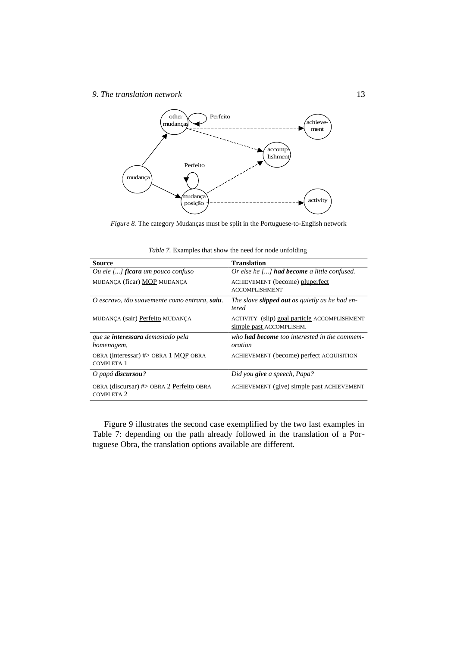

*Figure 8.* The category Mudanças must be split in the Portuguese-to-English network

| Source                                                            | <b>Translation</b>                                                       |
|-------------------------------------------------------------------|--------------------------------------------------------------------------|
| Ou ele [] ficara um pouco confuso                                 | Or else he [] had become a little confused.                              |
| MUDANÇA (ficar) MQP MUDANÇA                                       | ACHIEVEMENT (become) pluperfect<br><b>ACCOMPLISHMENT</b>                 |
| O escravo, tão suavemente como entrara, saiu.                     | The slave <b>slipped out</b> as quietly as he had en-<br>tered           |
| MUDANÇA (sair) Perfeito MUDANÇA                                   | ACTIVITY (slip) goal particle ACCOMPLISHMENT<br>simple past ACCOMPLISHM. |
| que se <b>interessara</b> demasiado pela<br>homenagem,            | who <b>had become</b> too interested in the commem-<br>oration           |
| OBRA (interessar) $\#$ OBRA 1 MQP OBRA<br>COMPLETA 1              | ACHIEVEMENT (become) perfect ACQUISITION                                 |
| O papá discursou?                                                 | Did you give a speech, Papa?                                             |
| OBRA (discursar) #> OBRA 2 Perfeito OBRA<br>COMPLETA <sub>2</sub> | ACHIEVEMENT (give) simple past ACHIEVEMENT                               |

*Table 7.* Examples that show the need for node unfolding

Figure 9 illustrates the second case exemplified by the two last examples in Table 7: depending on the path already followed in the translation of a Portuguese Obra, the translation options available are different.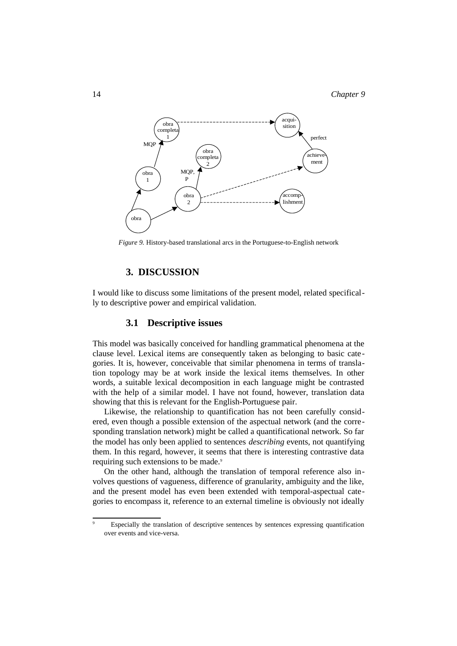

*Figure 9.* History-based translational arcs in the Portuguese-to-English network

## **3. DISCUSSION**

I would like to discuss some limitations of the present model, related specifically to descriptive power and empirical validation.

## **3.1 Descriptive issues**

This model was basically conceived for handling grammatical phenomena at the clause level. Lexical items are consequently taken as belonging to basic categories. It is, however, conceivable that similar phenomena in terms of translation topology may be at work inside the lexical items themselves. In other words, a suitable lexical decomposition in each language might be contrasted with the help of a similar model. I have not found, however, translation data showing that this is relevant for the English-Portuguese pair.

Likewise, the relationship to quantification has not been carefully considered, even though a possible extension of the aspectual network (and the corresponding translation network) might be called a quantificational network. So far the model has only been applied to sentences *describing* events, not quantifying them. In this regard, however, it seems that there is interesting contrastive data requiring such extensions to be made.<sup>[9](#page-13-0)</sup>

On the other hand, although the translation of temporal reference also involves questions of vagueness, difference of granularity, ambiguity and the like, and the present model has even been extended with temporal-aspectual categories to encompass it, reference to an external timeline is obviously not ideally

<span id="page-13-0"></span><sup>&</sup>lt;sup>9</sup> Especially the translation of descriptive sentences by sentences expressing quantification over events and vice-versa.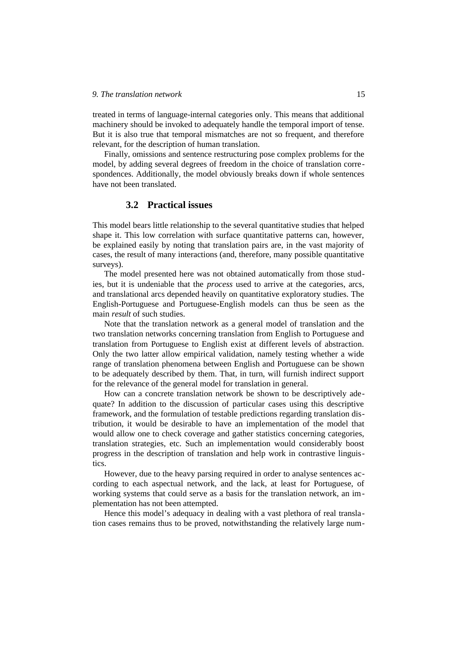treated in terms of language-internal categories only. This means that additional machinery should be invoked to adequately handle the temporal import of tense. But it is also true that temporal mismatches are not so frequent, and therefore relevant, for the description of human translation.

Finally, omissions and sentence restructuring pose complex problems for the model, by adding several degrees of freedom in the choice of translation correspondences. Additionally, the model obviously breaks down if whole sentences have not been translated.

### **3.2 Practical issues**

This model bears little relationship to the several quantitative studies that helped shape it. This low correlation with surface quantitative patterns can, however, be explained easily by noting that translation pairs are, in the vast majority of cases, the result of many interactions (and, therefore, many possible quantitative surveys).

The model presented here was not obtained automatically from those studies, but it is undeniable that the *process* used to arrive at the categories, arcs, and translational arcs depended heavily on quantitative exploratory studies. The English-Portuguese and Portuguese-English models can thus be seen as the main *result* of such studies.

Note that the translation network as a general model of translation and the two translation networks concerning translation from English to Portuguese and translation from Portuguese to English exist at different levels of abstraction. Only the two latter allow empirical validation, namely testing whether a wide range of translation phenomena between English and Portuguese can be shown to be adequately described by them. That, in turn, will furnish indirect support for the relevance of the general model for translation in general.

How can a concrete translation network be shown to be descriptively adequate? In addition to the discussion of particular cases using this descriptive framework, and the formulation of testable predictions regarding translation distribution, it would be desirable to have an implementation of the model that would allow one to check coverage and gather statistics concerning categories, translation strategies, etc. Such an implementation would considerably boost progress in the description of translation and help work in contrastive linguistics.

However, due to the heavy parsing required in order to analyse sentences according to each aspectual network, and the lack, at least for Portuguese, of working systems that could serve as a basis for the translation network, an implementation has not been attempted.

Hence this model's adequacy in dealing with a vast plethora of real translation cases remains thus to be proved, notwithstanding the relatively large num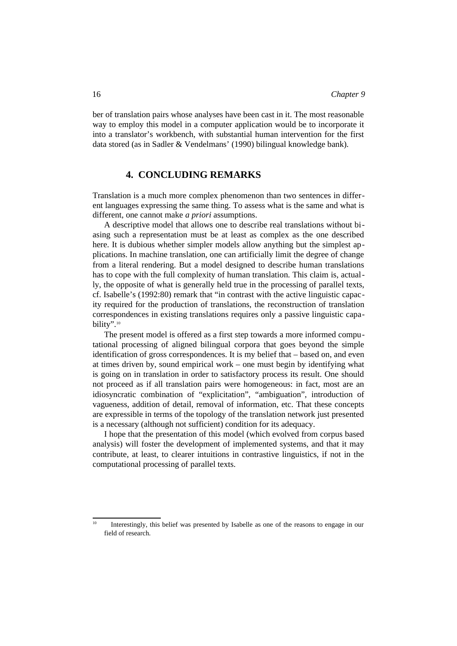ber of translation pairs whose analyses have been cast in it. The most reasonable way to employ this model in a computer application would be to incorporate it into a translator's workbench, with substantial human intervention for the first data stored (as in Sadler & Vendelmans' (1990) bilingual knowledge bank).

## **4. CONCLUDING REMARKS**

Translation is a much more complex phenomenon than two sentences in different languages expressing the same thing. To assess what is the same and what is different, one cannot make *a priori* assumptions.

A descriptive model that allows one to describe real translations without biasing such a representation must be at least as complex as the one described here. It is dubious whether simpler models allow anything but the simplest applications. In machine translation, one can artificially limit the degree of change from a literal rendering. But a model designed to describe human translations has to cope with the full complexity of human translation. This claim is, actually, the opposite of what is generally held true in the processing of parallel texts, cf. Isabelle's (1992:80) remark that "in contrast with the active linguistic capacity required for the production of translations, the reconstruction of translation correspondences in existing translations requires only a passive linguistic capability".[10](#page-15-0)

The present model is offered as a first step towards a more informed computational processing of aligned bilingual corpora that goes beyond the simple identification of gross correspondences. It is my belief that – based on, and even at times driven by, sound empirical work – one must begin by identifying what is going on in translation in order to satisfactory process its result. One should not proceed as if all translation pairs were homogeneous: in fact, most are an idiosyncratic combination of "explicitation", "ambiguation", introduction of vagueness, addition of detail, removal of information, etc. That these concepts are expressible in terms of the topology of the translation network just presented is a necessary (although not sufficient) condition for its adequacy.

I hope that the presentation of this model (which evolved from corpus based analysis) will foster the development of implemented systems, and that it may contribute, at least, to clearer intuitions in contrastive linguistics, if not in the computational processing of parallel texts.

<span id="page-15-0"></span> $10$  Interestingly, this belief was presented by Isabelle as one of the reasons to engage in our field of research.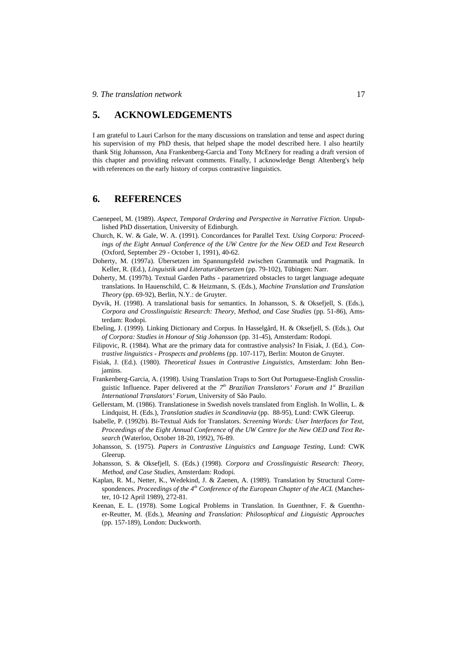# **5. ACKNOWLEDGEMENTS**

I am grateful to Lauri Carlson for the many discussions on translation and tense and aspect during his supervision of my PhD thesis, that helped shape the model described here. I also heartily thank Stig Johansson, Ana Frankenberg-Garcia and Tony McEnery for reading a draft version of this chapter and providing relevant comments. Finally, I acknowledge Bengt Altenberg's help with references on the early history of corpus contrastive linguistics.

## **6. REFERENCES**

- Caenepeel, M. (1989). *Aspect, Temporal Ordering and Perspective in Narrative Fiction.* Unpublished PhD dissertation, University of Edinburgh.
- Church, K. W. & Gale, W. A. (1991). Concordances for Parallel Text. *Using Corpora: Proceedings of the Eight Annual Conference of the UW Centre for the New OED and Text Research* (Oxford, September 29 - October 1, 1991), 40-62.
- Doherty, M. (1997a). Übersetzen im Spannungsfeld zwischen Grammatik und Pragmatik. In Keller, R. (Ed.), *Linguistik und Literaturübersetzen* (pp. 79102)*,* Tübingen: Narr.
- Doherty, M. (1997b). Textual Garden Paths parametrized obstacles to target language adequate translations. In Hauenschild, C. & Heizmann, S. (Eds.), *Machine Translation and Translation* Theory (pp. 69-92), Berlin, N.Y.: de Gruyter.
- Dyvik, H. (1998). A translational basis for semantics. In Johansson, S. & Oksefjell, S. (Eds.), *Corpora and Crosslinguistic Research: Theory, Method, and Case Studies* (pp. 51-86), Amsterdam: Rodopi.
- Ebeling, J. (1999). Linking Dictionary and Corpus. In Hasselgård, H. & Oksefjell, S. (Eds.), *Out of Corpora: Studies in Honour of Stig Johansson* (pp. 3145), Amsterdam: Rodopi.
- Filipovic, R. (1984). What are the primary data for contrastive analysis? In Fisiak, J. (Ed.), *Contrastive linguistics - Prospects and problems* (pp. 107-117), Berlin: Mouton de Gruyter.
- Fisiak, J. (Ed.). (1980). *Theoretical Issues in Contrastive Linguistics,* Amsterdam: John Benjamins.
- Frankenberg-Garcia, A. (1998). Using Translation Traps to Sort Out Portuguese-English Crosslinguistic Influence. Paper delivered at the *7 th Brazilian Translators' Forum and 1st Brazilian International Translators' Forum*, University of São Paulo.
- Gellerstam, M. (1986). Translationese in Swedish novels translated from English. In Wollin, L. & Lindquist, H. (Eds.), *Translation studies in Scandinavia* (pp. 8895), Lund: CWK Gleerup.
- Isabelle, P. (1992b). Bi-Textual Aids for Translators. *Screening Words: User Interfaces for Text*, *Proceedings of the Eight Annual Conference of the UW Centre for the New OED and Text Re*search (Waterloo, October 18-20, 1992), 76-89.
- Johansson, S. (1975). *Papers in Contrastive Linguistics and Language Testing*, Lund: CWK Gleerup.
- Johansson, S. & Oksefjell, S. (Eds.) (1998). *Corpora and Crosslinguistic Research: Theory, Method, and Case Studies*, Amsterdam: Rodopi.
- Kaplan, R. M., Netter, K., Wedekind, J. & Zaenen, A. (1989). Translation by Structural Correspondences. *Proceedings of the 4th Conference of the European Chapter of the ACL* (Manchester, 10-12 April 1989), 272-81.
- Keenan, E. L. (1978). Some Logical Problems in Translation. In Guenthner, F. & Guenthner-Reutter, M. (Eds.), *Meaning and Translation: Philosophical and Linguistic Approaches* (pp. 157-189), London: Duckworth.